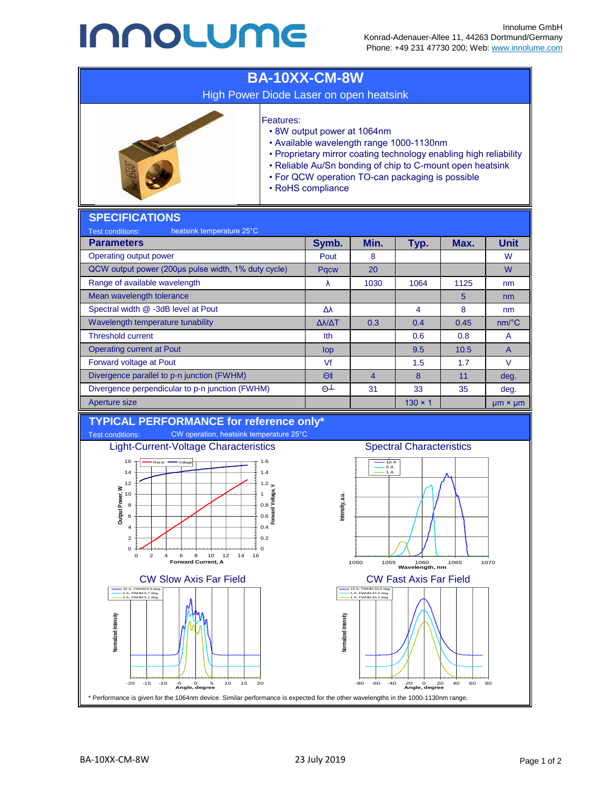## **INNOLUME**



\* Performance is given for the 1064nm device. Similar performance is expected for the other wavelengths in the 1000-1130nm range.